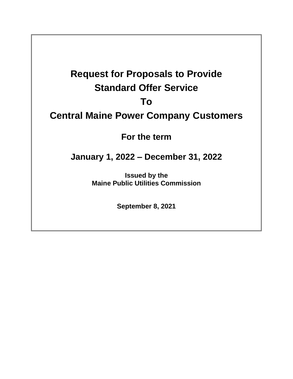# **Request for Proposals to Provide Standard Offer Service**

### **To**

## **Central Maine Power Company Customers**

**For the term**

## **January 1, 2022 – December 31, 2022**

**Issued by the Maine Public Utilities Commission**

**September 8, 2021**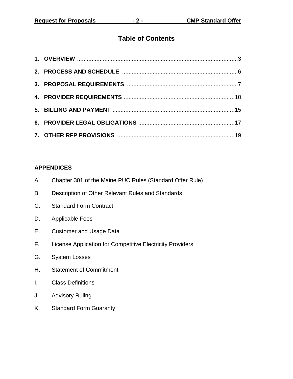#### **Table of Contents**

#### **APPENDICES**

- A. Chapter 301 of the Maine PUC Rules (Standard Offer Rule)
- B. Description of Other Relevant Rules and Standards
- C. Standard Form Contract
- D. Applicable Fees
- E. Customer and Usage Data
- F. License Application for Competitive Electricity Providers
- G. System Losses
- H. Statement of Commitment
- I. Class Definitions
- J. Advisory Ruling
- K. Standard Form Guaranty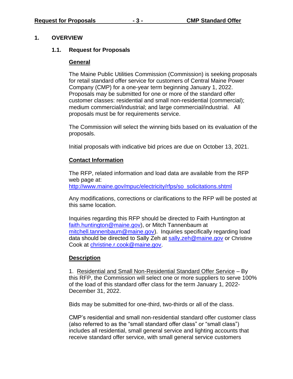#### **1. OVERVIEW**

#### **1.1. Request for Proposals**

#### **General**

The Maine Public Utilities Commission (Commission) is seeking proposals for retail standard offer service for customers of Central Maine Power Company (CMP) for a one-year term beginning January 1, 2022. Proposals may be submitted for one or more of the standard offer customer classes: residential and small non-residential (commercial); medium commercial/industrial; and large commercial/industrial. All proposals must be for requirements service.

The Commission will select the winning bids based on its evaluation of the proposals.

Initial proposals with indicative bid prices are due on October 13, 2021.

#### **Contact Information**

The RFP, related information and load data are available from the RFP web page at: [http://www.maine.gov/mpuc/electricity/rfps/so\\_solicitations.shtml](http://www.maine.gov/mpuc/electricity/rfps/so_solicitations.shtml)

Any modifications, corrections or clarifications to the RFP will be posted at this same location.

Inquiries regarding this RFP should be directed to Faith Huntington at [faith.huntington@maine.gov\)](mailto:faith.huntington@maine.gov), or Mitch Tannenbaum at [mitchell.tannenbaum@maine.gov\)](mailto:mitchell.tannenbaum@maine.gov). Inquiries specifically regarding load data should be directed to Sally Zeh at [sally.zeh@maine.gov](mailto:sally.zeh@maine.gov) or Christine Cook at [christine.r.cook@maine.gov.](mailto:christine.r.cook@maine.gov)

#### **Description**

1. Residential and Small Non-Residential Standard Offer Service – By this RFP, the Commission will select one or more suppliers to serve 100% of the load of this standard offer class for the term January 1, 2022- December 31, 2022.

Bids may be submitted for one-third, two-thirds or all of the class.

CMP's residential and small non-residential standard offer customer class (also referred to as the "small standard offer class" or "small class") includes all residential, small general service and lighting accounts that receive standard offer service, with small general service customers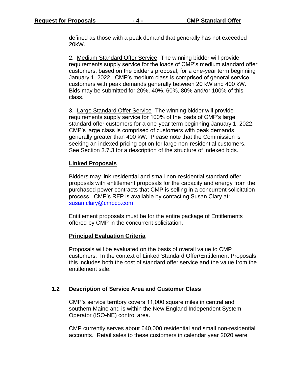defined as those with a peak demand that generally has not exceeded 20kW.

2. Medium Standard Offer Service- The winning bidder will provide requirements supply service for the loads of CMP's medium standard offer customers, based on the bidder's proposal, for a one-year term beginning January 1, 2022. CMP's medium class is comprised of general service customers with peak demands generally between 20 kW and 400 kW. Bids may be submitted for 20%, 40%, 60%, 80% and/or 100% of this class.

3. Large Standard Offer Service- The winning bidder will provide requirements supply service for 100% of the loads of CMP's large standard offer customers for a one-year term beginning January 1, 2022. CMP's large class is comprised of customers with peak demands generally greater than 400 kW. Please note that the Commission is seeking an indexed pricing option for large non-residential customers. See Section 3.7.3 for a description of the structure of indexed bids.

#### **Linked Proposals**

Bidders may link residential and small non-residential standard offer proposals with entitlement proposals for the capacity and energy from the purchased power contracts that CMP is selling in a concurrent solicitation process. CMP's RFP is available by contacting Susan Clary at: [susan.clary@cmpco.com](mailto:susan.clary@cmpco.com)

Entitlement proposals must be for the entire package of Entitlements offered by CMP in the concurrent solicitation.

#### **Principal Evaluation Criteria**

Proposals will be evaluated on the basis of overall value to CMP customers. In the context of Linked Standard Offer/Entitlement Proposals, this includes both the cost of standard offer service and the value from the entitlement sale.

#### **1.2 Description of Service Area and Customer Class**

CMP's service territory covers 11,000 square miles in central and southern Maine and is within the New England Independent System Operator (ISO-NE) control area.

CMP currently serves about 640,000 residential and small non-residential accounts. Retail sales to these customers in calendar year 2020 were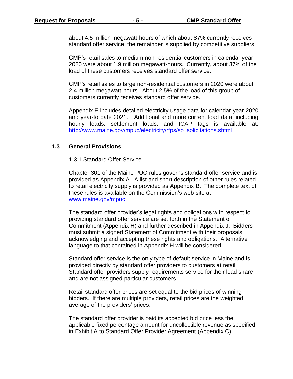about 4.5 million megawatt-hours of which about 87% currently receives standard offer service; the remainder is supplied by competitive suppliers.

CMP's retail sales to medium non-residential customers in calendar year 2020 were about 1.9 million megawatt-hours. Currently, about 37% of the load of these customers receives standard offer service.

CMP's retail sales to large non-residential customers in 2020 were about 2.4 million megawatt-hours. About 2.5% of the load of this group of customers currently receives standard offer service.

Appendix E includes detailed electricity usage data for calendar year 2020 and year-to date 2021. Additional and more current load data, including hourly loads, settlement loads, and ICAP tags is available at: [http://www.maine.gov/mpuc/electricity/rfps/so\\_solicitations.shtml](http://www.maine.gov/mpuc/electricity/rfps/so_solicitations.shtml) 

#### **1.3 General Provisions**

#### 1.3.1 Standard Offer Service

Chapter 301 of the Maine PUC rules governs standard offer service and is provided as Appendix A. A list and short description of other rules related to retail electricity supply is provided as Appendix B. The complete text of these rules is available on the Commission's web site at [www.maine.gov/mpuc](http://www.maine.gov/mpuc)

The standard offer provider's legal rights and obligations with respect to providing standard offer service are set forth in the Statement of Commitment (Appendix H) and further described in Appendix J. Bidders must submit a signed Statement of Commitment with their proposals acknowledging and accepting these rights and obligations. Alternative language to that contained in Appendix H will be considered.

Standard offer service is the only type of default service in Maine and is provided directly by standard offer providers to customers at retail. Standard offer providers supply requirements service for their load share and are not assigned particular customers.

Retail standard offer prices are set equal to the bid prices of winning bidders. If there are multiple providers, retail prices are the weighted average of the providers' prices.

The standard offer provider is paid its accepted bid price less the applicable fixed percentage amount for uncollectible revenue as specified in Exhibit A to Standard Offer Provider Agreement (Appendix C).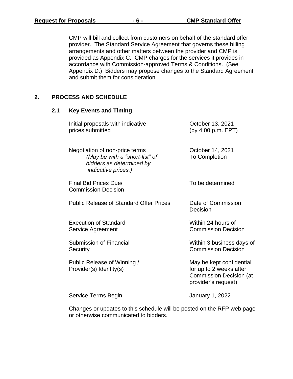CMP will bill and collect from customers on behalf of the standard offer provider. The Standard Service Agreement that governs these billing arrangements and other matters between the provider and CMP is provided as Appendix C. CMP charges for the services it provides in accordance with Commission-approved Terms & Conditions. (See Appendix D.) Bidders may propose changes to the Standard Agreement and submit them for consideration.

#### **2. PROCESS AND SCHEDULE**

**2.1 Key Events and Timing**

| Initial proposals with indicative<br>prices submitted                                                                      | October 13, 2021<br>(by 4:00 p.m. EPT)                                                                       |
|----------------------------------------------------------------------------------------------------------------------------|--------------------------------------------------------------------------------------------------------------|
| Negotiation of non-price terms<br>(May be with a "short-list" of<br>bidders as determined by<br><i>indicative prices.)</i> | October 14, 2021<br><b>To Completion</b>                                                                     |
| Final Bid Prices Due/<br><b>Commission Decision</b>                                                                        | To be determined                                                                                             |
| <b>Public Release of Standard Offer Prices</b>                                                                             | Date of Commission<br>Decision                                                                               |
| <b>Execution of Standard</b><br>Service Agreement                                                                          | Within 24 hours of<br><b>Commission Decision</b>                                                             |
| Submission of Financial<br>Security                                                                                        | Within 3 business days of<br><b>Commission Decision</b>                                                      |
| Public Release of Winning /<br>Provider(s) Identity(s)                                                                     | May be kept confidential<br>for up to 2 weeks after<br><b>Commission Decision (at</b><br>provider's request) |
| Service Terms Begin                                                                                                        | January 1, 2022                                                                                              |

Changes or updates to this schedule will be posted on the RFP web page or otherwise communicated to bidders.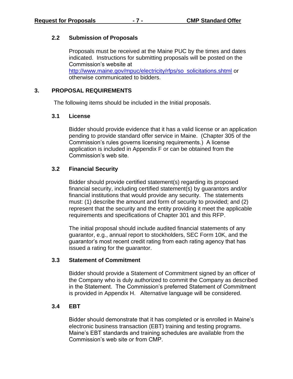#### **2.2 Submission of Proposals**

Proposals must be received at the Maine PUC by the times and dates indicated. Instructions for submitting proposals will be posted on the Commission's website at [http://www.maine.gov/mpuc/electricity/rfps/so\\_solicitations.shtml](http://www.maine.gov/mpuc/electricity/rfps/so_solicitations.shtml) or otherwise communicated to bidders.

#### **3. PROPOSAL REQUIREMENTS**

The following items should be included in the Initial proposals.

#### **3.1 License**

Bidder should provide evidence that it has a valid license or an application pending to provide standard offer service in Maine. (Chapter 305 of the Commission's rules governs licensing requirements.) A license application is included in Appendix F or can be obtained from the Commission's web site.

#### **3.2 Financial Security**

Bidder should provide certified statement(s) regarding its proposed financial security, including certified statement(s) by guarantors and/or financial institutions that would provide any security. The statements must: (1) describe the amount and form of security to provided; and (2) represent that the security and the entity providing it meet the applicable requirements and specifications of Chapter 301 and this RFP.

The initial proposal should include audited financial statements of any guarantor, e.g., annual report to stockholders, SEC Form 10K, and the guarantor's most recent credit rating from each rating agency that has issued a rating for the guarantor.

#### **3.3 Statement of Commitment**

Bidder should provide a Statement of Commitment signed by an officer of the Company who is duly authorized to commit the Company as described in the Statement. The Commission's preferred Statement of Commitment is provided in Appendix H. Alternative language will be considered.

#### **3.4 EBT**

Bidder should demonstrate that it has completed or is enrolled in Maine's electronic business transaction (EBT) training and testing programs. Maine's EBT standards and training schedules are available from the Commission's web site or from CMP.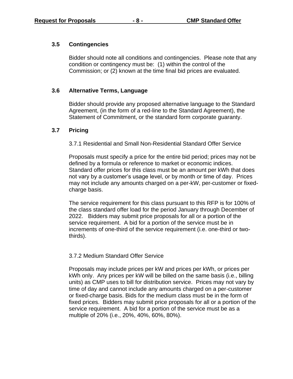#### **3.5 Contingencies**

Bidder should note all conditions and contingencies. Please note that any condition or contingency must be: (1) within the control of the Commission; or (2) known at the time final bid prices are evaluated.

#### **3.6 Alternative Terms, Language**

Bidder should provide any proposed alternative language to the Standard Agreement, (in the form of a red-line to the Standard Agreement), the Statement of Commitment, or the standard form corporate guaranty.

#### **3.7 Pricing**

3.7.1 Residential and Small Non-Residential Standard Offer Service

Proposals must specify a price for the entire bid period; prices may not be defined by a formula or reference to market or economic indices. Standard offer prices for this class must be an amount per kWh that does not vary by a customer's usage level, or by month or time of day. Prices may not include any amounts charged on a per-kW, per-customer or fixedcharge basis.

The service requirement for this class pursuant to this RFP is for 100% of the class standard offer load for the period January through December of 2022. Bidders may submit price proposals for all or a portion of the service requirement. A bid for a portion of the service must be in increments of one-third of the service requirement (i.e. one-third or twothirds).

#### 3.7.2 Medium Standard Offer Service

Proposals may include prices per kW and prices per kWh, or prices per kWh only. Any prices per kW will be billed on the same basis (i.e., billing units) as CMP uses to bill for distribution service. Prices may not vary by time of day and cannot include any amounts charged on a per-customer or fixed-charge basis. Bids for the medium class must be in the form of fixed prices. Bidders may submit price proposals for all or a portion of the service requirement. A bid for a portion of the service must be as a multiple of 20% (i.e., 20%, 40%, 60%, 80%).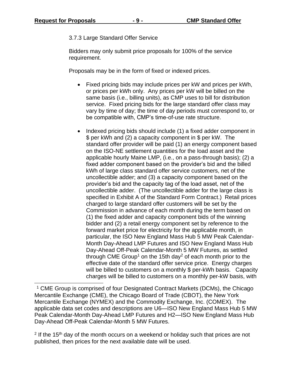#### 3.7.3 Large Standard Offer Service

Bidders may only submit price proposals for 100% of the service requirement.

Proposals may be in the form of fixed or indexed prices.

- Fixed pricing bids may include prices per kW and prices per kWh, or prices per kWh only. Any prices per kW will be billed on the same basis (i.e., billing units), as CMP uses to bill for distribution service. Fixed pricing bids for the large standard offer class may vary by time of day; the time of day periods must correspond to, or be compatible with, CMP's time-of-use rate structure.
- Indexed pricing bids should include (1) a fixed adder component in \$ per kWh and (2) a capacity component in \$ per kW. The standard offer provider will be paid (1) an energy component based on the ISO-NE settlement quantities for the load asset and the applicable hourly Maine LMP, (i.e., on a pass-through basis); (2) a fixed adder component based on the provider's bid and the billed kWh of large class standard offer service customers, net of the uncollectible adder; and (3) a capacity component based on the provider's bid and the capacity tag of the load asset, net of the uncollectible adder. (The uncollectible adder for the large class is specified in Exhibit A of the Standard Form Contract.) Retail prices charged to large standard offer customers will be set by the Commission in advance of each month during the term based on (1) the fixed adder and capacity component bids of the winning bidder and (2) a retail energy component set by reference to the forward market price for electricity for the applicable month, in particular, the ISO New England Mass Hub 5 MW Peak Calendar-Month Day-Ahead LMP Futures and ISO New England Mass Hub Day-Ahead Off-Peak Calendar-Month 5 MW Futures, as settled through CME Group<sup>1</sup> on the 15th day<sup>2</sup> of each month prior to the effective date of the standard offer service price. Energy charges will be billed to customers on a monthly \$ per-kWh basis. Capacity charges will be billed to customers on a monthly per-kW basis, with

<sup>1</sup> CME Group is comprised of four Designated Contract Markets (DCMs), the Chicago Mercantile Exchange (CME), the Chicago Board of Trade (CBOT), the New York Mercantile Exchange (NYMEX) and the Commodity Exchange, Inc. (COMEX). The applicable data set codes and descriptions are U6—ISO New England Mass Hub 5 MW Peak Calendar-Month Day-Ahead LMP Futures and H2—ISO New England Mass Hub Day-Ahead Off-Peak Calendar-Month 5 MW Futures.

 $2$  If the 15<sup>th</sup> day of the month occurs on a weekend or holiday such that prices are not published, then prices for the next available date will be used.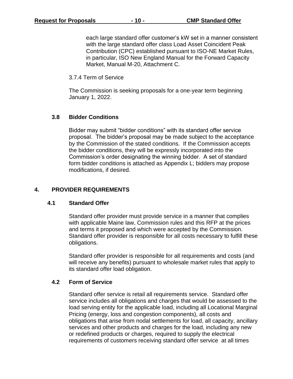each large standard offer customer's kW set in a manner consistent with the large standard offer class Load Asset Coincident Peak Contribution (CPC) established pursuant to ISO-NE Market Rules, in particular, ISO New England Manual for the Forward Capacity Market, Manual M-20, Attachment C.

3.7.4 Term of Service

The Commission is seeking proposals for a one-year term beginning January 1, 2022.

#### **3.8 Bidder Conditions**

Bidder may submit "bidder conditions" with its standard offer service proposal. The bidder's proposal may be made subject to the acceptance by the Commission of the stated conditions. If the Commission accepts the bidder conditions, they will be expressly incorporated into the Commission's order designating the winning bidder. A set of standard form bidder conditions is attached as Appendix L; bidders may propose modifications, if desired.

#### **4. PROVIDER REQUIREMENTS**

#### **4.1 Standard Offer**

Standard offer provider must provide service in a manner that complies with applicable Maine law, Commission rules and this RFP at the prices and terms it proposed and which were accepted by the Commission. Standard offer provider is responsible for all costs necessary to fulfill these obligations.

Standard offer provider is responsible for all requirements and costs (and will receive any benefits) pursuant to wholesale market rules that apply to its standard offer load obligation.

#### **4.2 Form of Service**

Standard offer service is retail all requirements service. Standard offer service includes all obligations and charges that would be assessed to the load serving entity for the applicable load, including all Locational Marginal Pricing (energy, loss and congestion components), all costs and obligations that arise from nodal settlements for load, all capacity, ancillary services and other products and charges for the load, including any new or redefined products or charges, required to supply the electrical requirements of customers receiving standard offer service at all times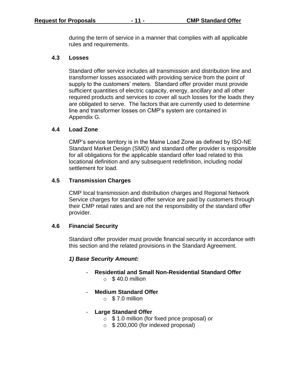during the term of service in a manner that complies with all applicable rules and requirements.

#### **4.3 Losses**

Standard offer service includes all transmission and distribution line and transformer losses associated with providing service from the point of supply to the customers' meters. Standard offer provider must provide sufficient quantities of electric capacity, energy, ancillary and all other required products and services to cover all such losses for the loads they are obligated to serve. The factors that are currently used to determine line and transformer losses on CMP's system are contained in Appendix G.

#### **4.4 Load Zone**

CMP's service territory is in the Maine Load Zone as defined by ISO-NE Standard Market Design (SMD) and standard offer provider is responsible for all obligations for the applicable standard offer load related to this locational definition and any subsequent redefinition, including nodal settlement for load.

#### **4.5 Transmission Charges**

CMP local transmission and distribution charges and Regional Network Service charges for standard offer service are paid by customers through their CMP retail rates and are not the responsibility of the standard offer provider.

#### **4.6 Financial Security**

Standard offer provider must provide financial security in accordance with this section and the related provisions in the Standard Agreement.

#### *1) Base Security Amount:*

- **Residential and Small Non-Residential Standard Offer**   $\circ$  \$40.0 million
- **Medium Standard Offer** 
	- $\circ$  \$7.0 million
- **Large Standard Offer**
	- o \$ 1.0 million (for fixed price proposal) or
	- $\circ$  \$ 200,000 (for indexed proposal)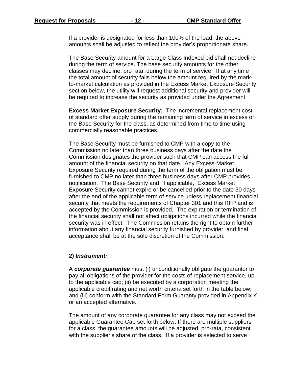If a provider is designated for less than 100% of the load, the above amounts shall be adjusted to reflect the provider's proportionate share.

The Base Security amount for a Large Class Indexed bid shall not decline during the term of service. The base security amounts for the other classes may decline, pro rata, during the term of service. If at any time the total amount of security falls below the amount required by the markto-market calculation as provided in the Excess Market Exposure Security section below, the utility will request additional security and provider will be required to increase the security as provided under the Agreement.

**Excess Market Exposure Security:** The incremental replacement cost of standard offer supply during the remaining term of service in excess of the Base Security for the class, as determined from time to time using commercially reasonable practices.

The Base Security must be furnished to CMP with a copy to the Commission no later than three business days after the date the Commission designates the provider such that CMP can access the full amount of the financial security on that date. Any Excess Market Exposure Security required during the term of the obligation must be furnished to CMP no later than three business days after CMP provides notification. The Base Security and, if applicable, Excess Market Exposure Security cannot expire or be cancelled prior to the date 30 days after the end of the applicable term of service unless replacement financial security that meets the requirements of Chapter 301 and this RFP and is accepted by the Commission is provided. The expiration or termination of the financial security shall not affect obligations incurred while the financial security was in effect. The Commission retains the right to obtain further information about any financial security furnished by provider, and final acceptance shall be at the sole discretion of the Commission.

#### **2)** *Instrument:*

A *corporate guarantee* must (i) unconditionally obligate the guarantor to pay all obligations of the provider for the costs of replacement service, up to the applicable cap; (ii) be executed by a corporation meeting the applicable credit rating and net worth criteria set forth in the table below; and (iii) conform with the Standard Form Guaranty provided in Appendix K or an accepted alternative.

The amount of any corporate guarantee for any class may not exceed the applicable Guarantee Cap set forth below. If there are multiple suppliers for a class, the guarantee amounts will be adjusted, pro-rata, consistent with the supplier's share of the class. If a provider is selected to serve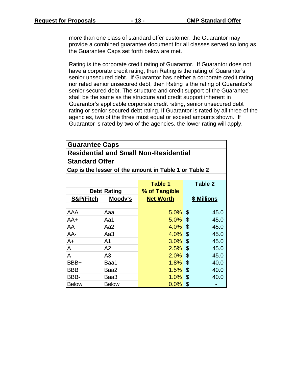more than one class of standard offer customer, the Guarantor may provide a combined guarantee document for all classes served so long as the Guarantee Caps set forth below are met.

Rating is the corporate credit rating of Guarantor. If Guarantor does not have a corporate credit rating, then Rating is the rating of Guarantor's senior unsecured debt. If Guarantor has neither a corporate credit rating nor rated senior unsecured debt, then Rating is the rating of Guarantor's senior secured debt. The structure and credit support of the Guarantee shall be the same as the structure and credit support inherent in Guarantor's applicable corporate credit rating, senior unsecured debt rating or senior secured debt rating. If Guarantor is rated by all three of the agencies, two of the three must equal or exceed amounts shown. If Guarantor is rated by two of the agencies, the lower rating will apply.

| <b>Guarantee Caps</b>                                 |                    |                  |                    |  |  |  |  |
|-------------------------------------------------------|--------------------|------------------|--------------------|--|--|--|--|
| <b>Residential and Small Non-Residential</b>          |                    |                  |                    |  |  |  |  |
| <b>Standard Offer</b>                                 |                    |                  |                    |  |  |  |  |
| Cap is the lesser of the amount in Table 1 or Table 2 |                    |                  |                    |  |  |  |  |
|                                                       |                    |                  |                    |  |  |  |  |
|                                                       |                    | Table 1          | Table 2            |  |  |  |  |
|                                                       | <b>Debt Rating</b> | % of Tangible    |                    |  |  |  |  |
| <b>S&amp;P/Fitch</b>                                  | <u>Moody's</u>     | <b>Net Worth</b> | <u>\$ Millions</u> |  |  |  |  |
|                                                       |                    |                  |                    |  |  |  |  |
| AAA                                                   | Aaa                | $5.0\%$ \$       | 45.0               |  |  |  |  |
| AA+                                                   | Aa1                | $5.0\%$ \$       | 45.0               |  |  |  |  |
| AA                                                    | Aa2                | $4.0\%$ \$       | 45.0               |  |  |  |  |
| AA-                                                   | Aa3                | $4.0\%$ \$       | 45.0               |  |  |  |  |
| A+                                                    | A1                 | $3.0\%$ \$       | 45.0               |  |  |  |  |
| A                                                     | A2                 | $2.5\%$ \$       | 45.0               |  |  |  |  |
| A-                                                    | A3                 | $2.0\%$ \$       | 45.0               |  |  |  |  |
| BBB+                                                  | Baa1               | $1.8\%$ \$       | 40.0               |  |  |  |  |
| BBB                                                   | Baa2               | 1.5%             | $\$\$<br>40.0      |  |  |  |  |
| BBB-                                                  | Baa3               | $1.0\%$ \$       | 40.0               |  |  |  |  |
| <b>Below</b>                                          | <b>Below</b>       | $0.0\%$          | \$                 |  |  |  |  |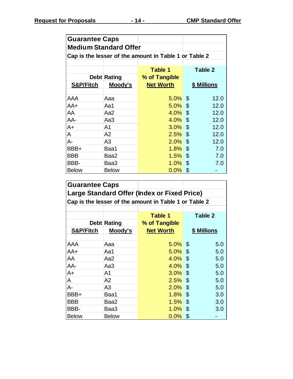| <b>Guarantee Caps</b>                                 |                    |                  |             |  |  |  |  |
|-------------------------------------------------------|--------------------|------------------|-------------|--|--|--|--|
| <b>Medium Standard Offer</b>                          |                    |                  |             |  |  |  |  |
| Cap is the lesser of the amount in Table 1 or Table 2 |                    |                  |             |  |  |  |  |
|                                                       |                    |                  |             |  |  |  |  |
|                                                       |                    | Table 1          | Table 2     |  |  |  |  |
|                                                       | <b>Debt Rating</b> | % of Tangible    |             |  |  |  |  |
| S&P/Fitch                                             | Moody's            | <b>Net Worth</b> | \$ Millions |  |  |  |  |
|                                                       |                    |                  |             |  |  |  |  |
| AAA                                                   | Aaa                | $5.0\%$ \$       | 12.0        |  |  |  |  |
| AA+                                                   | Aa1                | $5.0\%$ \$       | 12.0        |  |  |  |  |
| AA                                                    | Aa2                | $4.0\%$ \$       | 12.0        |  |  |  |  |
| AA-                                                   | Aa3                | $4.0\%$ \$       | 12.0        |  |  |  |  |
| A+                                                    | A1                 | $3.0\%$ \$       | 12.0        |  |  |  |  |
| A                                                     | A2                 | $2.5\%$ \$       | 12.0        |  |  |  |  |
| A-                                                    | A3                 | $2.0\%$ \$       | 12.0        |  |  |  |  |
| BBB+                                                  | Baa1               | $1.8\%$ \$       | 7.0         |  |  |  |  |
| <b>BBB</b>                                            | Baa2               | $1.5\%$ \$       | 7.0         |  |  |  |  |
| BBB-                                                  | Baa3               | $1.0\%$ \$       | 7.0         |  |  |  |  |
| <b>Below</b>                                          | <b>Below</b>       | $0.0\%$          | \$          |  |  |  |  |

| <b>Guarantee Caps</b>                                 |                    |                  |             |  |  |  |  |
|-------------------------------------------------------|--------------------|------------------|-------------|--|--|--|--|
| Large Standard Offer (Index or Fixed Price)           |                    |                  |             |  |  |  |  |
| Cap is the lesser of the amount in Table 1 or Table 2 |                    |                  |             |  |  |  |  |
|                                                       |                    |                  |             |  |  |  |  |
|                                                       |                    | Table 1          | Table 2     |  |  |  |  |
|                                                       | <b>Debt Rating</b> | % of Tangible    |             |  |  |  |  |
| <b>S&amp;P/Fitch</b>                                  | Moody's            | <b>Net Worth</b> | \$ Millions |  |  |  |  |
|                                                       |                    |                  |             |  |  |  |  |
| AAA                                                   | Aaa                | $5.0\%$ \$       | 5.0         |  |  |  |  |
| AA+                                                   | Aa1                | $5.0\%$ \$       | 5.0         |  |  |  |  |
| AA                                                    | Aa2                | $4.0\%$ \$       | 5.0         |  |  |  |  |
| AA-                                                   | Аа3                | $4.0\%$ \$       | 5.0         |  |  |  |  |
| A+                                                    | A1                 | $3.0\%$ \$       | 5.0         |  |  |  |  |
| A                                                     | A2                 | $2.5\%$ \$       | 5.0         |  |  |  |  |
| А-                                                    | A3                 | $2.0\%$ \$       | 5.0         |  |  |  |  |
| BBB+                                                  | Baa1               | $1.8\%$ \$       | 3.0         |  |  |  |  |
| <b>BBB</b>                                            | Baa2               | $1.5\%$ \$       | 3.0         |  |  |  |  |
| BBB-                                                  | Baa3               | $1.0\%$ \$       | 3.0         |  |  |  |  |
| <b>Below</b>                                          | <b>Below</b>       | $0.0\%$          | \$          |  |  |  |  |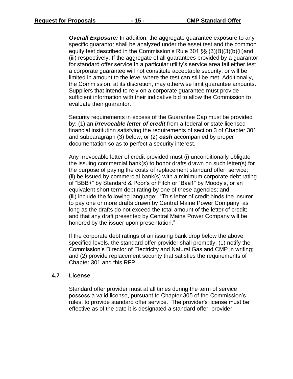**Overall Exposure:** In addition, the aggregate guarantee exposure to any specific guarantor shall be analyzed under the asset test and the common equity test described in the Commission's Rule 301 §§ (3)(B)(3)(b)(ii)and (iii) respectively. If the aggregate of all guarantees provided by a guarantor for standard offer service in a particular utility's service area fail either test a corporate guarantee will not constitute acceptable security, or will be limited in amount to the level where the test can still be met. Additionally, the Commission, at its discretion, may otherwise limit guarantee amounts. Suppliers that intend to rely on a corporate guarantee must provide sufficient information with their indicative bid to allow the Commission to evaluate their guarantor.

Security requirements in excess of the Guarantee Cap must be provided by: (1) an *irrevocable letter of credit* from a federal or state licensed financial institution satisfying the requirements of section 3 of Chapter 301 and subparagraph (3) below; or (2) *cash* accompanied by proper documentation so as to perfect a security interest.

Any irrevocable letter of credit provided must (i) unconditionally obligate the issuing commercial bank(s) to honor drafts drawn on such letter(s) for the purpose of paying the costs of replacement standard offer service; (ii) be issued by commercial bank(s) with a minimum corporate debt rating of "BBB+" by Standard & Poor's or Fitch or "Baa1" by Moody's, or an equivalent short term debt rating by one of these agencies; and (iii) include the following language: "This letter of credit binds the insurer to pay one or more drafts drawn by Central Maine Power Company as long as the drafts do not exceed the total amount of the letter of credit; and that any draft presented by Central Maine Power Company will be honored by the issuer upon presentation."

If the corporate debt ratings of an issuing bank drop below the above specified levels, the standard offer provider shall promptly: (1) notify the Commission's Director of Electricity and Natural Gas and CMP in writing; and (2) provide replacement security that satisfies the requirements of Chapter 301 and this RFP.

#### **4.7 License**

Standard offer provider must at all times during the term of service possess a valid license, pursuant to Chapter 305 of the Commission's rules, to provide standard offer service. The provider's license must be effective as of the date it is designated a standard offer provider.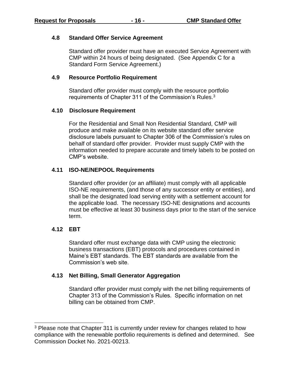#### **4.8 Standard Offer Service Agreement**

Standard offer provider must have an executed Service Agreement with CMP within 24 hours of being designated. (See Appendix C for a Standard Form Service Agreement.)

#### **4.9 Resource Portfolio Requirement**

Standard offer provider must comply with the resource portfolio requirements of Chapter 311 of the Commission's Rules.<sup>3</sup>

#### **4.10 Disclosure Requirement**

For the Residential and Small Non Residential Standard, CMP will produce and make available on its website standard offer service disclosure labels pursuant to Chapter 306 of the Commission's rules on behalf of standard offer provider. Provider must supply CMP with the information needed to prepare accurate and timely labels to be posted on CMP's website.

#### **4.11 ISO-NE/NEPOOL Requirements**

Standard offer provider (or an affiliate) must comply with all applicable ISO-NE requirements, (and those of any successor entity or entities), and shall be the designated load serving entity with a settlement account for the applicable load. The necessary ISO-NE designations and accounts must be effective at least 30 business days prior to the start of the service term.

#### **4.12 EBT**

Standard offer must exchange data with CMP using the electronic business transactions (EBT) protocols and procedures contained in Maine's EBT standards. The EBT standards are available from the Commission's web site.

#### **4.13 Net Billing, Small Generator Aggregation**

Standard offer provider must comply with the net billing requirements of Chapter 313 of the Commission's Rules. Specific information on net billing can be obtained from CMP.

<sup>&</sup>lt;sup>3</sup> Please note that Chapter 311 is currently under review for changes related to how compliance with the renewable portfolio requirements is defined and determined. See Commission Docket No. 2021-00213.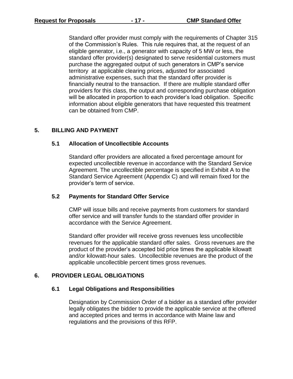Standard offer provider must comply with the requirements of Chapter 315 of the Commission's Rules. This rule requires that, at the request of an eligible generator, i.e., a generator with capacity of 5 MW or less, the standard offer provider(s) designated to serve residential customers must purchase the aggregated output of such generators in CMP's service territory at applicable clearing prices, adjusted for associated administrative expenses, such that the standard offer provider is financially neutral to the transaction. If there are multiple standard offer providers for this class, the output and corresponding purchase obligation will be allocated in proportion to each provider's load obligation. Specific information about eligible generators that have requested this treatment can be obtained from CMP.

#### **5. BILLING AND PAYMENT**

#### **5.1 Allocation of Uncollectible Accounts**

Standard offer providers are allocated a fixed percentage amount for expected uncollectible revenue in accordance with the Standard Service Agreement. The uncollectible percentage is specified in Exhibit A to the Standard Service Agreement (Appendix C) and will remain fixed for the provider's term of service.

#### **5.2 Payments for Standard Offer Service**

CMP will issue bills and receive payments from customers for standard offer service and will transfer funds to the standard offer provider in accordance with the Service Agreement.

Standard offer provider will receive gross revenues less uncollectible revenues for the applicable standard offer sales. Gross revenues are the product of the provider's accepted bid price times the applicable kilowatt and/or kilowatt-hour sales. Uncollectible revenues are the product of the applicable uncollectible percent times gross revenues.

#### **6. PROVIDER LEGAL OBLIGATIONS**

#### **6.1 Legal Obligations and Responsibilities**

Designation by Commission Order of a bidder as a standard offer provider legally obligates the bidder to provide the applicable service at the offered and accepted prices and terms in accordance with Maine law and regulations and the provisions of this RFP.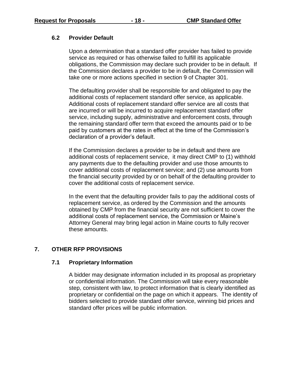#### **6.2 Provider Default**

Upon a determination that a standard offer provider has failed to provide service as required or has otherwise failed to fulfill its applicable obligations, the Commission may declare such provider to be in default. If the Commission declares a provider to be in default, the Commission will take one or more actions specified in section 9 of Chapter 301.

The defaulting provider shall be responsible for and obligated to pay the additional costs of replacement standard offer service, as applicable. Additional costs of replacement standard offer service are all costs that are incurred or will be incurred to acquire replacement standard offer service, including supply, administrative and enforcement costs, through the remaining standard offer term that exceed the amounts paid or to be paid by customers at the rates in effect at the time of the Commission's declaration of a provider's default.

If the Commission declares a provider to be in default and there are additional costs of replacement service, it may direct CMP to (1) withhold any payments due to the defaulting provider and use those amounts to cover additional costs of replacement service; and (2) use amounts from the financial security provided by or on behalf of the defaulting provider to cover the additional costs of replacement service.

In the event that the defaulting provider fails to pay the additional costs of replacement service, as ordered by the Commission and the amounts obtained by CMP from the financial security are not sufficient to cover the additional costs of replacement service, the Commission or Maine's Attorney General may bring legal action in Maine courts to fully recover these amounts.

#### **7. OTHER RFP PROVISIONS**

#### **7.1 Proprietary Information**

A bidder may designate information included in its proposal as proprietary or confidential information. The Commission will take every reasonable step, consistent with law, to protect information that is clearly identified as proprietary or confidential on the page on which it appears. The identity of bidders selected to provide standard offer service, winning bid prices and standard offer prices will be public information.